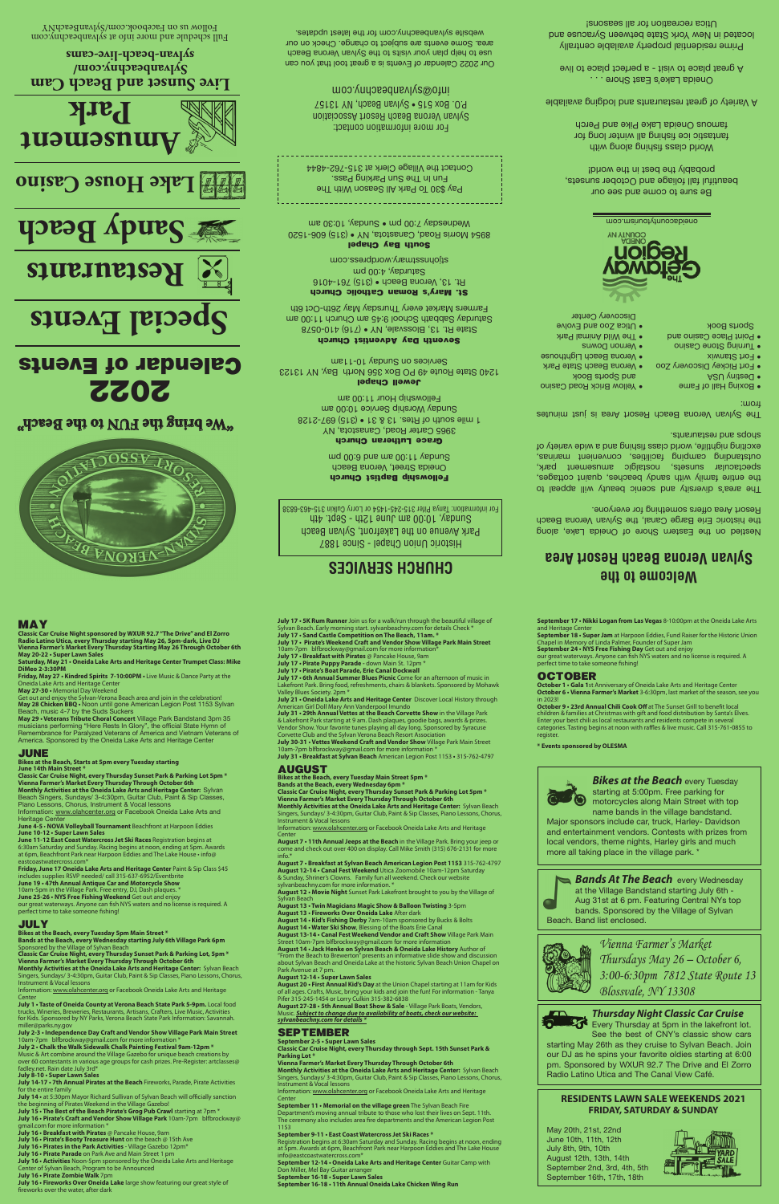**MAY**

**Saturday, May 21 • Oneida Lake Arts and Heritage Center Trumpet Class: Mike DiMeo 2-3:30PM Friday, May 27 • Kindred Spirits 7-10:00PM •** Live Music & Dance Party at the

Get out and enjoy the Sylvan-Verona Beach area and join in the celebration!<br>**May 28 Chicken BBQ •** Noon until gone American Legion Post 1153 Sylvan<br>Beach, music 4-7 by the Suds Suckers

**May 29 • Veterans Tribute Choral Concert** Village Park Bandstand 3pm 35<br>musicians performing "Here Rests In Glory", the official State Hymn of<br>Remembrance for Paralyzed Veterans of America and Vietnam Veterans of<br>America.

Oneida Lake Arts and Heritage Center **May 27-30 •** Memorial Day Weekend

**Vienna Farmer's Market Every Thursday Through October 6th<br>Monthly Activities at the Oneida Lake Arts and Heritage Center:** Sylvan<br>Beach Singers, Sundays/ 3-4:30pm, Guitar Club, Paint & Sip Classes,<br>Piano Lessons, Chorus, Information: www.olahcenter.org or Facebook Oneida Lake Arts and

includes supplies RSVP needed/ call 315-637-6952/Eventbrite **June 19 • 47th Annual Antique Car and Motorcycle Show** 10am-5pm in the Village Park. Free entry, DJ, Dash plaques. \* **June 25-26 • NYS Free Fishing Weekend** Get out and enjoy<br>our great waterways. Anyone can fish NYS waters and no license is required. A<br>perfect time to take someone fishing!

**JUNE**

**Bikes at the Beach, Starts at 5pm every Tuesday starting** 

**June 14th Main Street \* Classic Car Cruise Night, every Thursday Sunset Park & Parking Lot 5pm \***

Heritage Center

**June 4-5** • **NOVA Volleyball Tournament** Beachfront at Harpoon Eddies **June 10-12 • Super Lawn Sales June 11-12 East Coast Watercross Jet Ski Races** Registration begins at 6:30am Saturday and Sunday. Racing begins at noon, ending at 5pm. Awards

**July 8-10 • Super Lawn Sales July 14-17 • 7th Annual Pirates at the Beach** Fireworks, Parade, Pirate Activities e entire family

at 6pm, Beachfront Park near Harpoon Eddies and The Lake House • info@ eastcoastwatercross.com\* **Friday, June 17 Oneida Lake Arts and Heritage Center** Paint & Sip Class \$45

#### **JULY**

**Bikes at the Beach, every Tuesday 5pm Main Street \* Bands at the Beach, every Wednesday starting July 6th Village Park 6pm**  Sponsored by the Village of Sylvan Beach

Classic Car Cruise Night, every Thursday Sunset Park & Parking Lot, 5pm \*<br>Vienna Farmer's Market Every Thursday Through October 6th<br>Monthly Activities at the Oneida Lake Arts and Heritage Center: Sylvan Beach

Valley Blues Society **July 21 • Oneida Lake Arts and Heritage Center** Discover Local History through

American Girl Doll Mary Ann Vanderpool Imundo **July 31 • 29th Annual Vettes at the Beach Corvette Show** in the Village Park & Lakefront Park starting at 9 am. Dash plaques, goodie bags, awards & prizes.<br>Vendor Show. Your favorite tunes playing all day long. Sponsored by Syracuse<br>Corvette Club and the Sylvan Verona Beach Resort Association

Singers, Sundays/ 3-4:30pm, Guitar Club, Paint & Sip Classes, Piano Lessons, Chorus, Instrument & Vocal lessons

Information: www.olahcenter.org or Facebook Oneida Lake Arts and Heritage

Center<br>**July 1 • Taste of Oneida County at Verona Beach State Park 5-9pm.** Local food<br>trucks, Wineries, Breweries, Restaurants, Artisans, Crafters, Live Music, Activities<br>for Kids. Sponsored by NY Parks, Verona Beach State

miller@parks.ny.gov<br>July 2-3 • Independence Day Craft and Vendor Show Village Park Main Street<br>10am-7pm blfbrockway@gmail.com for more information \*

Center **August 7 • 11th Annual Jeeps at the Beach** in the Village Park. Bring your jeep or on display. Call Mike Smith (315) 676-2131 for

info.\*<br>**August 7 • Breakfast at Sylvan Beach American Legion Post 1153** 315-762-4797<br>**August 12-14 • Canal Fest Weekend** Utica Zoomobile 10am-12pm Saturday & Sunday, Shriner's Clowns. Family fun all weekend. Check our website

**July 2 • Chalk the Walk Sidewalk Chalk Painting Festival 9am-12pm \*** Music & Art combine around the Village Gazebo for unique beach creations by over 60 contestants in various age groups for cash prizes. Pre-Register: artclasses@ fadley.net. Rain date July 3rd\*

**July 14 •** at 5:30pm Mayor Richard Sullivan of Sylvan Beach will officially sanction the beginning of Pirates Weekend in the Village Gazebo!

**July 15 • The Best of the Beach Pirate's Grog Pub Crawl** starting at 7pm \* **July 16 • Pirate's Craft and Vendor Show Village Park** 10am-7pm blfbrockway@

gmail.com for more information \* **July 16 • Breakfast with Pirates** @ Pancake House, 9am

**July 16 • Pirate's Booty Treasure Hunt** on the beach @ 15th Ave

**July 16 • Pirates in the Park Activities** - Village Gazebo 12pm\* **July 16 • Pirate Parade** on Park Ave and Main Street 1 pm

**July 16 • Activities** Noon-5pm sponsored by the Oneida Lake Arts and Heritage

Center of Sylvan Beach, Program to be Announced **July 16 • Pirate Zombie Walk** 7pm

**July 16 • Fireworks Over Oneida Lake** large show featuring our great style of fireworks over the water, after dark

info@eastcoastwatercross.com\* **September 12-14 • Oneida Lake Arts and Heritage Center** Guitar Camp with Don Miller, Mel Bay Guitar arrange

**July 17 • Pirate's Weekend Craft and Vendor Show Village Park Main Street**  10am-7pm blfbrockway@gmail.com for more information\*

**July 17 • 5K Rum Runner** Join us for a walk/run through the beautiful village of<br>Sylvan Beach. Early morning start. sylvanbeachny.com for details Check \*<br>**July 17 • Sand Castle Competition on The Beach, 11am. \*** 



Classic Car Cruise Night sponsored by WXUR 92.7 "The Drive" and El Zorro<br>Radio Latino Utica, every Thursday starting May 26, 5pm-dark, Live DJ<br>Vienna Farmer's Market Every Thursday Starting May 26 Through October 6th<br>May 2

**July 17 • Breakfast with Pirates** @ Pancake House, 9am **July 17 • Pirate Puppy Parade -** down Main St. 12pm \* **July 17 • Pirate's Boat Parade, Erie Canal Dockwall**

**July 17 • 6th Annual Summer Blues Picnic** Come for an afternoon of music in Lakefront Park. Bring food, refreshments, chairs & blankets. Sponsored by Mohawk

Every Thursday at 5pm in the lakefront lot. See the best of CNY's classic show cars

**Bands At The Beach** every Wednesday at the Village Bandstand starting July 6th - Aug 31st at 6 pm. Featuring Central NYs top bands. Sponsored by the Village of Sylvan Beach. Band list enclosed.



**AUGUST Bikes at the Beach, every Tuesday Main Street 5pm \* Bands at the Beach, every Wednesday 6pm \***

**July 30-31 • Vettes Weekend Craft and Vendor Show** Village Park Main Street<br>10am-7pm blfbrockway@gmail.com for more information \*<br>**July 31 • Breakfast at Sylvan Beach** American Legion Post 1153 • 315-762-4797

- Boxing Hall of Fame
- Destiny USA
- Fort Rickey Discovery Zoo • Verona Beach State Park • Verona Beach Lighthouse
- Fort Stanwix • Turning Stone Casino • Vernon Downs • The Wild Animal Park
- Point Place Casino and Sports Book
- Utica Zoo and Evolve Discovery Center

## • Yellow Brick Road Casino and Sports Book

Oneida Lake's East Shore . . . A great place to visit - a perfect place to live

Information: www.olahcenter.org or Facebook Oneida Lake Arts and Heritage

**Classic Car Cruise Night, every Thursday Sunset Park & Parking Lot 5pm \***<br>**Vienna Farmer's Market Every Thursday Through October 6th<br>Monthly Activities at the Oneida Lake Arts and Heritage Center:** Sylvan Beach<br>Singers, S

Our 2022 Calendar of Events is a great tool that you can use to help plan your visits to the Sylvan Verona Beach area. Some events are subject to change. Check on our website sylvanbeachny.com for the latest updates.

sylvanbeachny.com for more information. \* **August 12 • Movie Night** Sunset Park Lakefront brought to you by the Village of

Sylvan Beach **August 13 • Twin Magicians Magic Show & Balloon Twisting** 3-5pm **August 13 • Fireworks Over Oneida Lake** After dark

**August 14 • Kid's Fishing Derby** 7am-10am sponsored by Bucks & Bolts **August 14 • Water Ski Show**, Blessing of the Boats Erie Canal

Full schedule and more info at sylvanbeachny.com Follow us on Facebook.com/SylvanBeach/Y

> **August 13-14 • Canal Fest Weekend Vendor and Craft Show** Village Park Main Street 10am-7pm blfbrockway@gmail.com for more information **August 14 • Jack Henke on Sylvan Beach & Oneida Lake History** Author of

'From the Beach to Brewerton" presents an informative slide show about Sylvan Beach and Oneida Lake at the historic Sylvan Beach Union Chapel on Park Av

#### **August 12-14 • Super Lawn Sales**

**August 20 • First Annual Kid's Day** at the Union Chapel starting at 11am for Kids<br>of all ages. Crafts, Music, bring your kids and join the fun! For information - Tanya<br>Pifer 315-245-1454 or Lorry Culkin 315-382-6838<br>**Augu** 

*sylvanbeachny.com for details \**

#### **SEPTEMBER**

**September 2-5 • Super Lawn Sales**

**Classic Car Cruise Night, every Thursday through Sept. 15th Sunset Park & Parking Lot \***

**Vienna Farmer's Market Every Thursday Through October 6th**

**Monthly Activities at the Oneida Lake Arts and Heritage Center:** Sylvan Beach Singers, Sundays/ 3-4:30pm, Guitar Club, Paint & Sip Classes, Piano Lessons, Chorus, Instrument & Vocal lessons

Information: www.olahcenter.org or Facebook Oneida Lake Arts and Heritage Center **September 11 • Memorial on the village green** The Sylvan Beach Fire

Department's moving annual tribute to those who lost their lives on Sept. 11th. The ceremony also includes area fire departments and the American Legion Post 1153

#### **September 9-11 • East Coast Watercross Jet Ski Races \***

Registration begins at 6:30am Saturday and Sunday. Racing begins at noon, ending at 5pm. Awards at 6pm, Beachfront Park near Harpoon Eddies and The Lake House

**September 16-18 • Super Lawn Sales September 16-18 • 11th Annual Oneida Lake Chicken Wing Run**

**September 17 • Nikki Logan from Las Vegas** 8-10:00pm at the Oneida Lake Arts

and Heritage Center **September 18 • Super Jam** at Harpoon Eddies, Fund Raiser for the Historic Union

#### **OCTOBER**

Chapel in Memory of Linda Palmer, Founder of Super Jam<br>**September 24 • NYS Free Fishing Day** Get out and enjoy<br>our great waterways. Anyone can fish NYS waters and no license is required. A<br>perfect time to take someone fish

**October 1 • Gala 1**st Anniversary of Oneida Lake Arts and Heritage Center **October 6 • Vienna Farmer's Market** 3-6:30pm, last market of the season, see you

in 2023! **October 9 • 23rd Annual Chili Cook Off** at The Sunset Grill to benefit local children & families at Christmas with gift and food distribution by Santa's Elves. Enter your best chili as local restaurants and residents compete in several categories. Tasting begins at noon with raffles & live music. Call 315-761-0855 to register.

**\* Events sponsored by OLESMA**

 $\mathcal{E}(\mathbf{r})$ 

*Bikes at the Beach* every Tuesday starting at 5:00pm. Free parking for motorcycles along Main Street with top name bands in the village bandstand.

Major sponsors include car, truck, Harley- Davidson and entertainment vendors. Contests with prizes from local vendors, theme nights, Harley girls and much more all taking place in the village park. \*

#### **RESIDENTS LAWN SALE WEEKENDS 2021 FRIDAY, SATURDAY & SUNDAY**

May 20th, 21st, 22nd June 10th, 11th, 12th July 8th, 9th, 10th August 12th, 13th, 14th September 2nd, 3rd, 4th, 5th September 16th, 17th, 18th



#### *Thursday Night Classic Car Cruise*

starting May 26th as they cruise to Sylvan Beach. Join our DJ as he spins your favorite oldies starting at 6:00 pm. Sponsored by WXUR 92.7 The Drive and El Zorro Radio Latino Utica and The Canal View Café.

## **Welcome to the Sylvan Verona Beach Resort Area**

Nestled on the Eastern Shore of Oneida Lake, along the historic Erie Barge Canal, the Sylvan Verona Beach Resort Area offers something for everyone.

The area's diversity and scenic beauty will appeal to the entire family with sandy beaches, quaint cottages, spectacular sunsets, nostalgic amusement park, outstanding camping facilities, convenient marinas, exciting nightlife, world class fishing and a wide variety of shops and restaurants.

The Sylvan Verona Beach Resort Area is just minutes from:

Be sure to come and see our beautiful fall foliage and October sunsets, probably the best in the world!

World class fishing along with fantastic ice fishing all winter long for famous Oneida Lake Pike and Perch

A Variety of great restaurants and lodging available

Prime residential property available centrally located in New York State between Syracuse and Utica recreation for all seasons!

## **CHURCH SERVICES**

**Fellowship Baptist Church** Oneida Street, Verona Beach

mq 00:0 bns ms 00:11 vsbnu2

**Grace Lutheran Church** 3965 Carter Road, Canastota, NY

1 mile south of Rtes. 13 & 31 • (315) 697-2128 Sunday Worship Service 10:00 am Fellowship Hour 11:00 am

**Jewell Chapel** 1240 State Route 49 PO Box 356 North Bay, NY 13123 Services on Sunday 10-11am

**Seventh Day Adventist Church** State Rt. 13, Blossvale, NY • (716) 410-0578 Saturday Sabbath School 9:45 am Church 11:00 am

Farmers Market every Thursday May 26th-Oct 6th **St. Mary's Roman Catholic Church** Rt. 13, Verona Beach • (315) 761-4016

Saturday, 4:00 pm stjohnsstmary.wordpress.com

**South Bay Chapel** 8954 Morris Road, Canastota, NY • (315) 606-1520 Wednesday 7:00 pm • Sunday, 10:30 am

Pay \$30 To Park All Season With The Fun In The Sun Parking Pass. Contact the Village Clerk at 315-762-4844

For more information contact: Sylvan Verona Beach Resort Association P.O. Box 515 • Sylvan Beach, NY 13157 info@sylvanbeachny.com

Historic Union Chapel - Since 1887 Park Avenue on the Lakefront, Sylvan Beach Sunday, 10:00 am June 12th - Sept. 4th For information: Tanya Pifer 315-245-1454 or Lorry Culkin 315-463-6838

## 2022 Calendar of Events

**"We bring the FUN to the Beach"**



# **Special Events**



**Sandy Beach**





**Live Sunset and Beach Cam Sylvanbeachny.com/ sylvan-beach-live-cams**

> *Vienna Farmer's Market Thursdays May 26 – October 6, 3:00-6:30pm 7812 State Route 13 Blossvale, NY 13308*